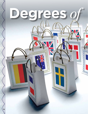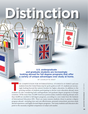**U.S. undergraduate and graduate students are increasingly looking abroad for full degree programs that offer a variety of unique advantages over study at home.**

**Degrees** *of* **Distinction**

By Charlotte West

THE COMPETITION FOR INTERNATIONAL STUDENTS IS FIERCE and now students from the United States may be up for grabs as well. U.S. students are increasingly looking beyond the nation's borders for higher education. In addition students from the United States may be up for grabs as well. U.S. students are increasingly looking beyond the nation's borders for higher education. In addition to the growing number of students participating in shorter term education abroad, more countries. Of the more than 312,000 American postsecondary students studying abroad, more than 42,000 are enrolled in full degree programs, according to a new study from the Institute of International Education (IIE). There are many reasons students chose to pursue a degree program abroad—including time and cost effectiveness, personal connections, previous study abroad experience, and highly focused degree programs—but many students and educators also point to the necessity of global competence in today's job market.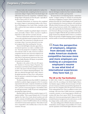# **Degrees***of* **Distinction**

Keenan Linsly, who recently transferred to Aarhus University in Denmark after completing his first two years at a community college in Virginia, believes his Danish degree will differentiate him from the competition. "I definitely think a foreign degree will separate me from the pack—especially if I decide to return to the U.S.," he says.

Nripendra Khatrichettri, an American who completed her master's degree in international studies at the University of Wollongong in New South Wales, Australia, in July 2011, confirms that many students are seeking "something different."

"I decided to complete my graduate degree overseas because, personally, I believe 'where' you learn is equally as important as 'what' and 'how' you learn," she says.

However, Khatrichettri admits her decision was based more on the individual master's program than it was on the country itself. "My connection to Australia was not as strong or deep. I was more attracted to my master's program there than anything else," she says.

Many in the field higher education agree that international experience can make a candidate stand out. "From the perspective of employers, (degrees from abroad) really do make American students competitive because more and more employers are looking at a prospective employee's resume to see what kind of international experiences they have had," says Rajika Bhandari, IIE deputy vice president of research and evaluation.

Bhandari is the author of the new IIE report, *U.S. Students in Overseas Degree Programs: Key Destinations and Fields of Study*, published in January 2012. The report is the first attempt to track the number of U.S. students obtaining full degrees. The data was collected through Project Atlas, which is the global equivalent of *Open Doors*, with partners that all represent a national-level agency tracking student mobility.

The data revealed that more than 42,000 U.S. students are enrolled in academic degree programs in the 13 countries represented in the study. A majority of students are enrolled at the postgraduate level, 44 percent in master's programs, and 17 percent in doctoral programs. Nevertheless, there are still approximately 11,000 (39 percent) undergraduates pursuing their degree abroad.

Bhandari believes this will have a positive impact on U.S. student mobility. "This is a good thing for the U.S. If we add together the *Open Doors* study abroad numbers and with this new estimate of 42,000 students obtaining full degrees, it adds up to a total of 312,000 students who are obtaining some kind of overseas study experience. That makes it much more comparable to the mobility data we have for other countries," she says.

Bhandari stresses that the report is the first time that data for full-degree students has been tracked, it's difficult to predict if this is actually a growing trend.

IIE reports that an overwhelming majority—nearly threefourths—of degree-seeking U.S. students are pursuing their education in Anglophone countries. Of the countries participating in this study, the United Kingdom and Canada are the top two destinations for American students, with Australia in fifth place behind Germany and France. Europe is also the top region among Americans outside of the Anglophone countries, with countries like the Netherlands, Sweden, Germany, and Denmark offering increasing numbers of full-degree programs in English. While the IIE report didn't track the language of instruction, Bhandari believes there is a correlation between the growth of English-language master's programs and the number of Americans pursuing full degrees abroad.

**ff** From the perspective **of employers, (degrees from abroad) really do make American students competitive because more and more employers are looking at a prospective employee's resume to see what kind of international experiences**  they have had.  $\blacksquare$ 

#### The UK as the Top Destination

In 2009–2010, 15,060 U.S. students pursued university study in the UK, according to the British Higher Education Statistics Agency (HESA). By level of study, 9,135 (60.7 percent) American students pursued full postgraduate degrees in the UK, alongside 5,925 (39.3 percent) Americans at the undergraduate level. This is in addition to short-term exchange, with more than 31,000 Americans completing a summer, semester, or year-long program at British universities (IIE *Open Doors* report, 2010). The most popular subjects for Americans pursuing master's degrees in the UK included business/management and social sciences, as well law, design studies, media studies, and education. a summer, semester, or year-long program at British universities (IIE *Open Doors* report, 2010). The most popular subjects for Americans pursuing master's degrees in the UK included business/management and social sciences

The major selling points of British education include cost of attendance, shorter degrees, the portability of U.S. loans,

**34 INTERNATIONAL EDUCATOR MAR+APRAS** W INTERNATIONAL EDUCATOR MAR+AP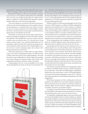particularly for institutions with well-recognized brands, such as Oxford, Cambridge, and the London School of Economics (LSE).

British master's degrees are often one-year programs, compared to two years at a U.S. institution making them more affordable. There are also more funding opportunities for taught master's degrees, in addition to readily available PhD stipends in researchintensive fields such as the sciences and engineering.

"The two key things are cost and time, but there are also practical factors in the decisionmaking process such as quality assurance and specialization in a particular subject area. When you look at one year of a master's as opposed to two and the ability to work in the UK for a year, those factors come into play," says Richard Everitt, deputy director of the British Council USA.

Anne Brooks, an American who earned a master of environmental policy, planning and regulation from the LSE in 2003, confirms that statement. She concluded that a one-year master's in the UK would be more cost-effective than a U.S. university due to living expenses and lost wages. "Even with full scholarships from U.S. universities, I figured out that LSE would end up costing me less. So the decision to attend university in the United Kingdom was a win-win-win: I earned a prestigious degree, had a chance to live abroad, and saved money in the end."

Others have similar stories. In 2005–2006, Ann-Marie Bruner-Tracey was a Rotary Ambassadorial Scholar to Cardiff University in Wales, where she earned an MA in applied linguistics. She made the decision to go to England for her master's degree after spending seven years working as an admissions officer and recruiter at her undergraduate institution, Centenary College of Louisiana.

"During college in the U.S., it was not possible for me to study abroad, although that was always on the top of my dreams list," she



DREAMSTIME/SHUTTERSTOCK/123RF

says. "I decided to think outside the box and see if my knowledge gained from advising undergraduates about options abroad might not also help me help myself! Since by this point, I was over 30, the idea of spending two years completing a master's program in the U.S. was less appealing than the same (and equally recognized) qualification in 12 months, especially as I planned to continue with my career following the 'break.'"

While the majority of Americans pursuing degrees in the UK are in masters and PhD programs, enrollment in British undergraduate programs is still a significant piece of the overall pie. According to Mary-Catherine Scarborough, a consultant with the British Council, the decisionmaking process is different for undergraduates than it is for graduate students. For masters and PhD programs, motivations include previous undergraduate study abroad experience, or as Bruner-Tracey mentions above, a desire for an international experience that was missed out on during undergraduate education.

"At the undergraduate level, (studying in another country) is brand new. Students might have had a study abroad experience in high school, but it is unlikely to have been in the UK," she says.

Scarborough says there has been an incremental increase in enrollment figures every year. She attributes much of the growth to recent developments in social media, which adds a new dimension to the traditional "word-of-mouth." "We think the solid increase is due in a large way to the growth of Facebook. The media capability for students to post pictures and stories in regular, everyday communication with friends and family from home has really helped because current high school students can see other students who have graduated and gone to university in the UK. They can see those everyday experiences and compare those to their counterparts who have stayed in the U.S.," she explains.

One of the most popular institutions for undergraduate study is St. Andrews in Scotland, though it attracts a number of postgraduates as well. In 2011–2012, there were 908 full-degree undergraduate students from the United States, as well as 100 doing postgraduate research and 98 doing postgraduate coursework. St. Andrew's total student population is around 6,000 undergraduates and 1,500 postgraduates.

While shorter programs are often a selling point at the postgraduate level, Scotland's four-year model is popular among many American students because it matches up with the standard U.S. bachelor's degree. The rest of the UK—England, Wales, and Northern Ireland—have three-year bachelor's degrees.

According to Yvonne Watt, director of international admissions, the United States is the largest international market for St. Andrews and one that has grown year on year over the last 10 years.

"In Scotland the undergraduate degree is four years and sits midway between the English and the U.S. system. Students are admitted into a faculty (usually arts or sciences) where they select three subjects in their first year. They decide on their honors (or major/s) at the end of their second year, which they then study in depth for the remaining two years. It enables the students to have both the flexibility of studyaint one that has grown year on year on year our the last 10 years.<br>
"In Scotland the undergraduate degree is four years and sits mid-<br>
way between the English and the U.S. system. Students are admitted<br>
into a faculty (us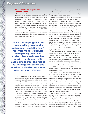### An International Experience Close to Home

Following the UK, Canada is the second most popular destination for U.S. students seeking full degrees abroad. According to the Embassy of Canada, approximately 10,000 Americans are currently seeking undergraduate or graduate degrees at Canadian universities. Of these, it is estimated that approximately 5,000 Americans are currently enrolled in undergraduate programs in Canada. The total number has grown significantly over the last decade, with only about 2,000 Americans pursuing their education in Canada in 2001–2002.

Canada sees the United States as a major market for recruitment. The Canadian Department of Foreign Affairs has identified the United States as one of eight major markets for international education promotion.

**While shorter programs are often a selling point at the postgraduate level, Scotland's four-year model is popular among many American students because it matches up with the standard U.S. bachelor's degree. The rest of the UK—England, Wales, and Northern Ireland—have threeyear bachelor's degrees.**

> The University of British Columbia (UBC) in Vancouver, British Columbia, is one of the most popular choices for U.S. students, alongside other institutions such as McGill and University of Toronto. UBC currently has approximately 1,400 undergraduate students from the United States. On the UBC campus in Vancouver, Americans make up about 15 percent of the total student population. As of November 2011, there were also 615 U.S. graduate students, 352 in masters programs and 261 in PhD programs. China and the United States are the two largest sources of international students at UBC.

> The quality of education in Canada differs less between institutions than it does in the United States as almost all universities are public and regulated by provincial standards. Costwise, Canadian universities can also compete with and often beat out their U.S. counterparts as tuition ranges between \$8,000 and \$26,000, which is equivalent to out-ofstate tuition at public universities in the United States and

less expensive than many private institutions. In addition, most Canadian institutions accept U.S. student loans, and graduates from Canadian universities are allowed to stay in Canada and work for up to three years.

"Public universities in Canada are not seeing the same level of cuts as they are in Washington and California. We're seeing a lot of parents from California, for instance, who are looking to UBC because they know students are going to be able to get into the courses they need," says Aaron Andersen, manager of international recruitment at the undergraduate level.

Minnesota has had a tuition reciprocity agreement with Manitoba, Canada, for more than 20 years. Not many students have been aware of the option, but that is changing—Manitoba is now promoting the opportunity, as reported by Minnesota Public Radio as recently as January. Tuition in Manitoba is cheaper than Minnesota state universities and with the reciprocity arrangement U.S. students can use federal student loans (but not Pell Grants) to pay for their tuition in Manitoba. Furthermore, in exchange for working after graduation in Canada for a period of time, Manitoba offers U.S. students \$25,000 in tax breaks to help pay their school debt.

Many of the students who chose to study in Canada have a previous personal connection to the country. Of the 1,400 American undergraduates at UBC, for instance, about a third have dual citizenship. "Oftentimes those students may have never even lived in Canada, but they have a parent who has Canadian citizenship," says Andersen.

Students may also have friends or family who previously studied in Canada. Jack Hind Smith, who graduated from UBC in 2010 with a BA in international relations and human geography, says his parents obtained their master's degrees in Canada in the 1970s.

"As a senior in high school, I considered university options in Canada because I wanted to 'think out of the box' and have a truly international experience. I am originally from the small city of Portland, Maine, and though it was a great place to grow up, I desperately wanted to escape and experience a broader world. I was familiar with many of the country's wellregarded, research-intensive universities. UBC and McGill appealed to me because of their cosmopolitan surroundings and huge international student populations. In the end, it was UBC that won out with its spectacular setting and dynamic Pacific Rim location," Smith explains.

Many students, like Smith, are attracted to the idea of an international experience close to home. As Andersen puts it, "It's close to home, but it's in another country. You might as well get the benefit of the global outlook."

At the graduate level, U.S. students often chose Canada because it offers competitive postgraduate funding and lower tuition. Anne Bjorkman chose UBC for her master's in botany many students, inte sinitit, are attracted to the idea or an<br>international experience close to home. As Andersen puts<br>it, "It's close to home, but it's in another country. You might<br>as well get the benefit of the global ou

ATIONAL EDUCATOR MAR+AI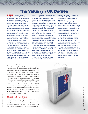**IN 2011, the British Council** commissioned Ipsos Public Affairs to do an online survey of 411 employers in the United States and 436 in Canada on their perceptions of UK degrees. According to the survey, soft skills—such as communication, self-motivation, teamwork, time management, and creativity—matter most to employers in their evaluations of potential employees. For both the undergraduate and graduate levels, employers are looking for degrees that are relevant to the industry in question, specialized in the relevant subject areas, that foster critical thinking and writing skills, and that give professional/industry experience.

A vast majority of the employers (73 percent) in the United States consider degrees earned in the UK to be the same as or better than those earned in the United States. According to the survey, employers look for candidates who are well-rounded, with a relevant degree from a reputable university or program, and they

perceive these things to be generally characteristic of Americans who have studied at British universities. The employers also cited skills such as an "international perspective" and "crosscultural understanding" as some of the benefits of earning a degree in the UK.

"The skills employers are looking for have changed. They are looking not only for the technical skills, but also things like intercultural navigation skills, team work, independent learning, innovation, and problem solving. These come out very strongly from students who have demonstrated they were able to study somewhere else," says Richard Everitt, deputy director of the British Council USA.

However, while most employers are favorable toward degrees earned in the UK, they are not fully knowledgeable about them. They are most familiar with the top British universities, Oxford, and Cambridge, which cast a "halo effect" on the rest of the country. If an employer has never heard

of a university, they are most likely

to go the university's Web site for more information about where that university ranks against U.S. institutions.

Students seeking to help an employer better understand their degree should provide details about the classes they have taken, as well as provide employers with a link to the university's Web site along with a link to or evidence of a professional accreditation body's assessment of their program/university.

To prepare students to explain their degrees, universities should help students understand the benefits of providing employers with relevant information about their institution and degree programs. One of the recommendations for British universities was also to create an employer's page on their Web sites to show the industry links, their ranking equivalents, and as well as professional and internship information.

Source: British Council, 2011.

ity and the availability of a research-based master's program were major deciding factors for her. After graduating from Cornell, she knew she wanted to pursue graduate school but didn't want to commit to a five-year PhD before she did a shorter master's program to explore her interest of ecological research. Although she was accepted to Yale's School of Forestry and Environmental Studies, she ended up enrolling at UBC—largely due to the financial aid package she was offered.

"Despite receiving a scholarship (from Yale), I would have had to pay more than \$10,000 in tuition, in addition to living expenses, whereas at UBC I was offered \$18,000 per year in compensation to pay living expenses, and tuition was only \$4,000 per year. Both programs were of great interest to me, but at that time I just couldn't justify going into so much debt to attend a U.S. school when the offer from Canada was so good," she says.

### Education Down Under

IIE ranks Australia as the fifth most popular country of choice for Americans seeking degrees abroad. According to Australian Education International, 1,016 Americans pursued degrees at the bachelor's level, 1061 at the master's level, and 334 at the doctoral level in 2010. Two of the top institu-<br>  $\frac{1}{2}$  and 334 at the doctoral level in 2010. Two of the top institu-<br>  $\frac{1}{2}$  and 334 at the doctoral level in 2010. Two of the top institu-

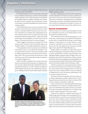# **Degrees***of* **Distinction**

tions for U.S. student enrollment are Bond University and University of New South Wales.

Bond offers lifestyle factors due to its location on the Gold Coast, Australia's tourist hot spot, as well as an extremely global student population with a 50/50 split between international and Australian students. In addition, unlike the rest of Australia, which runs on an academic year from February or March to November or December, Bond follows the North American academic calendar.

"Bond's big attraction is how we run our semesters. Three semesters a year, which line up with the semesters in North America. Australian bachelor's take three years (six semesters), and students can complete their undergraduate in two years and their master's in just 12 months," says Stuart Floyd, international regional manager at Bond. "That's only at Bond and the degree, even though they are shorter than American degrees, is considered equivalent to American degrees."

Ashley Waggener, international coordinator for North America at the University of New South Wales, believes an Australian degree is increasingly appealing for Americans.

"The postgraduate market is growing in several fields and will continue to grow as more people are looking for a way to make themselves stand out. Given the job market, people are willing to take that risk now because they don't have anything to lose. Why not go and have that experience? I think Americans are also often surprised by the rigor of academics in Australia," Waggener says.

Jeffrey Promnitz is a graduate who can attest to the value of previous education abroad experience in making the decision to pursue a degree abroad. He completed his master's in international business at La Trobe University in Melbourne in 2007 together with his wife, who enrolled in the same program. Although he had previously studied in Spain and spoke



Gouglas Ashby, left, earned his BA in hotel and tourism management from the Bangkok University International College in 2005 and his MBA in finance from the Grenoble Graduate School of Business in 2009

Spanish, his wife had not so they narrowed their choices to English-speaking countries.

Promnitz' undergraduate education abroad experience certainly added fuel to his desire to pursue a graduate degree abroad. "My previous short-term study abroad played a huge role in this decision. Studying abroad as an undergrad tremendously opened my world of knowing that there is far more out there to understand, with respect to various cultures and people, than I had ever previously realized," he says.

#### Diverse Destinations

While the majority of Americans pursuing degrees abroad go to Anglophone countries, an increasing number are also choosing more unlikely locations.

"Even within the shorter study abroad programs, we are seeing more students going to nontraditional destinations because there is recognition that learning a certain foreign language, or being exposed to certain cultures or rising economies, will really be an asset when it comes to looking for a job. The same holds true for Americans who hold degrees from abroad," IIE's Rajika Bhandari says.

Douglas Ashby is an example of a student who pursued both his undergraduate and graduate degrees from these so-called "nontraditional" countries, many of which are now offering full-degree programs taught in English. After completing a few years at the University of Iowa, Ashby earned his BA in hotel and tourism management from the Bangkok University International College in 2005 and his MBA in finance from the Grenoble Graduate School of Business in 2009.

"I had always planned on an international career which is why I chose an international university for the first degree. I have always believed that emerging markets are where the twenty-first century will play itself out. So part of (studying in Thailand) for me was to develop key relationships to use in my future endeavors," he says.

His decision of France for graduate school came down to two major considerations: academic caliber and cost. "France has good business schools that can be had at a fraction of the cost of its American counterparts," Ashby says.

France and Germany are especially popular destinations for full degrees for U.S. students; as already mentioned, Germany was ranked third most popular and France was ranked the fourth most popular destinations for U.S. students to go to enroll in degree programs in IIE's recent report.

Furthermore, in early 2011, a British Council report, the Global Gauge, placed Germany as the top destination for international students. Australia was in second place followed by the UK, China, Malaysia, and the United States in sixth place. Three aspects of internationalization were examined in the study: student mobility, academic and research collaboration, and national policies. These facts about Germany's Faractinore, in early 2011, a British Coancin report, the<br>Global Gauge, placed Germany as the top destination for in-<br>ternational students. Australia was in second place followed<br>by the UK, China, Malaysia, and the United

OR MAR+A

ATIONAL EDUC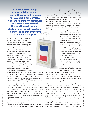**France and Germany are especially popular destinations for full degrees for U.S. students; Germany was ranked third most popular and France was ranked the fourth most popular destinations for U.S. students to enroll in degree programs in IIE's recent report.** 

the top rank: (1) International students don't pay more in tuition than German students, (2) a large number of degree programs are taught in English, and (3) German institutions have a reputation for encouraging their students to study abroad.

In February, the German Academic Exchange Service (DAAD) New York had its scholarship selection meeting for U.S. students wanting to study in Germany for their graduate degrees. DAAD New York received about 300 applications for students who want to pursue a master's degree and about the same number of students applying for funds to pursue a doctoral degree in Germany; 93 of the applications came from Canadian students and the rest were from the United States.

According to Sebastian Fohrbeck, director

of DAAD New York, there are several reasons why North American students find Germany an attractive destination to earn academic degrees. Aside for Germany's "high quality of higher education," Fohrbeck says that there are hundreds of bachelor's and master's degrees taught in English. "Almost all of these programs have zero tuition fees—compare this to Australia which sees overseas students' fees as a major source of income—Germany doesn't," he says. "Doctoral work in almost all fields can be done in English, there are absolutely no tuition fees at this stage. In addition, you can get a full scholarship from DAAD for the two years of the master's (or for up to one year as an undergraduate or doctoral student). The combination of zero tuition fees with a full scholarship—without any obligation to teach or work as a teaching or research assistant—are a package that's hard to beat."

Forbeck says that "the majority—roughly 90 percent—of the master's and doctoral programs students apply for in our scholarship competition are in English."

Holly Oberle is a current PhD candidate at the the Berlin Graduate School for Transnational Studies. She also completed her master's in

international relations in a joint program taught in English between Jacobs University and University of Bremen. She began studying German as an undergraduate at Knox College in Illinois. In addition to her previous affinity for the country and desire to pursue an international experience, Oberle was attracted to Germany's tradition of tuition-free education and relatively low cost of living. She was also drawn to its central location in Europe and the ability to travel.

"I knew that I could spend two or more years living in Europe, I could probably see much of Europe and maybe even other countries for much cheaper than I'd be able to do it if I stayed in the U.S.," she says.

> Although she acknowledges that her foreign graduate degrees might be an obstacle should she want to seek employment at Ivy League institutions back in the United States, Oberle believes her education abroad is positive: "I firmly believe that as the world continues to globalize, having international experience will be an asset, considering that students in much of the rest of the world are getting degrees at universities outside their home country."

> Oberle also says that the impetus will be on her to explain her foreign education to potential employers. "Much of it will be dependent on how I can sell my experience abroad," she explains.

> She is currently writing a book, *College Abroad 101*, which will be published later this year by Agapy LLC.

> "There is really no practical reason why one should limit one's options to their national context," she says. "Many

in the rest of the world are looking beyond their borders for their degree, why shouldn't Americans do the same?"

To students, Oberle advises: "There are many excellent universities outside the U.S., and when you combine that with the extraordinary experience of living on your own abroad, your education is that much more valuable."

China, which is the number one country sending students to the United States, is also increasingly on U.S. students' radars. "Many receiving countries now have a lot of recruitment strategies to have full-degree abroad students at their universities. China is a very good example of this. Through the China Scholarship Council, they offer a number of scholarships for international students for full-degree programs. It's those sorts of investments by the Chinese government that have also led to the big shift in China where it's gone from the world's biggest supplier of international students to also now being one of the biggest host countries," Bhandari says. People to People to People Exchange agreement, which includes a scholar<br>
Subset of the Subset of the Chinese government<br>
a package that's hard to beat."<br>
Forbeck says that "the majority—roughly 90 percent—of the world's bi

In April 2011, Chinese State Councilor Liu Yandong and U.S. Secretary of State Hillary Clinton signed the U.S.-China Consultation on

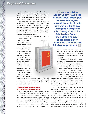## **Degrees***of* **Distinction**

for tuition and living expenses for U.S. students who enroll in Chinese universities for undergraduate or postgraduate degrees, according to *China Daily USA* newspaper. The initiative is related to President Barack Obama's call last year to see 100,000 U.S. students study abroad in China.

One recent high school graduate who recognizes the possibilities offered by China is Alex Sherr. While his educational background is certainly atypical for an American high school student, his profile fits that of many students who pursue full degrees abroad as undergraduates. He grew up in New York City, but attended the Hong Kong International School (HKIS) for high school when his parents' careers necessitated a move abroad.

It was in Hong Kong that he developed an affinity for

all things Chinese. "As my years in HKIS came to an end, I was left having to make the hard decision of where I wanted to continue my higher education. I have always wanted to study international relations or business, and personally, I felt like I could get a better grasp of those topics living abroad, instead of in the United States," he explains.

Sherr considered a number of U.S. universities overseas, such as the American University in Cairo, but ultimately decided to take two years off, which he has used to



intensively study Chinese in preparation for the Peking University entrance exam. In autumn 2012 he plans to study international relations or international business with the language of instruction in Chinese.

### International Backgrounds and a Sense of Adventure

While not many U.S. students have had the extensive experience abroad that Sherr did as a high school student, recruiters from many countries—including Canada and Australia—say they tend to target international schools or those with International Baccalaureate programs rather than typical public schools, partly due to the fact that many high school guidance counselors are unfamiliar with international opportunities.

Sherr reiterates this sentiment. "Coming from an international school, (studying abroad) is something that's much

**Many receiving countries now have a lot of recruitment strategies to have full-degree abroad students at their universities. China is a very good example of this. Through the China Scholarship Council, they offer a number of scholarships for international students for full-degree programs.**<br>
more accessible than for your average Ameri

more accessible than for your average American high school student. I had access to fountains of information that were my guidance counselors, college fairs, and even other student's parents," Sherr says.

U.S. high school officials seem to have a greater awareness of Canadian higher education than they do of other countries, but even that can be limited. Michelle Rath, director of school counseling at Essex High School in Essex Junction, Vermont, believes that while many high school counselors many have heard of larger schools such as McGill or UBC, they still lack the knowledge to properly advise their students. "They are not familiar with the Canadian university system

at all, nor do they understand the differences between Canadian universities, American colleges, etc. And many of them have limited personal experience with/in Canada, so it is not something that they actively promote with their students," she says.

Rath, on the other hand, very actively promotes Canadian education through a college fair, called "Consider Canada," she organizes each spring. "Given our proximity to Canada and the number of students with dual citizenship, we are seeing an ever-increasing number of our students in Vermont applying to schools abroad, especially to Canada, although not exclusively," she says.

Brad MacGowan, a college counselor at Newton North High School in Newton, Massachusetts, says he is seeing an increasing number of students who are interested in studying abroad, but not necessarily pursuing a full degree abroad.

International Educator MAR+APR.12

ATIONAL EDUCATOR MAR+A